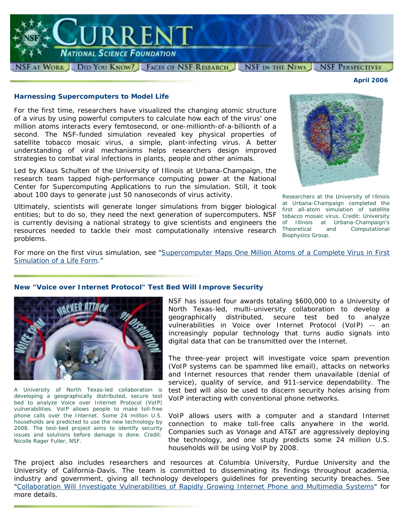

### **Harnessing Supercomputers to Model Life**

For the first time, researchers have visualized the changing atomic structure of a virus by using powerful computers to calculate how each of the virus' one million atoms interacts every femtosecond, or one-millionth-of-a-billionth of a second. The NSF-funded simulation revealed key physical properties of satellite tobacco mosaic virus, a simple, plant-infecting virus. A better understanding of viral mechanisms helps researchers design improved strategies to combat viral infections in plants, people and other animals.

Led by Klaus Schulten of the University of Illinois at Urbana-Champaign, the research team tapped high-performance computing power at the National Center for Supercomputing Applications to run the simulation. Still, it took about 100 days to generate just 50 nanoseconds of virus activity.

Ultimately, scientists will generate longer simulations from bigger biological entities; but to do so, they need the next generation of supercomputers. NSF is currently devising a national strategy to give scientists and engineers the *of Illinois at Urbana-Champaign's*  resources needed to tackle their most computationally intensive research problems.

*Researchers at the University of Illinois at Urbana-Champaign completed the first all-atom simulation of satellite tobacco mosaic virus. Credit: University Theoretical and Computational Biophysics Group.* 

For more on the first virus simulation, see "Supercomputer Maps One Million Atoms of a Complete Virus in First [Simulation of a Life Form](http://www.nsf.gov/news/news_summ.jsp?cntn_id=106791)."

# **New "Voice over Internet Protocol" Test Bed Will Improve Security**



*A University of North Texas-led collaboration is developing a geographically distributed, secure test bed to analyze Voice over Internet Protocol (VoIP) vulnerabilities. VoIP allows people to make toll-free phone calls over the Internet. Some 24 million U.S. households are predicted to use the new technology by 2008. The test-bed project aims to identify security issues and solutions before damage is done. Credit: Nicolle Rager Fuller, NSF.* 

NSF has issued four awards totaling \$600,000 to a University of North Texas-led, multi-university collaboration to develop a geographically distributed, secure test bed to analyze vulnerabilities in Voice over Internet Protocol (VoIP) -- an increasingly popular technology that turns audio signals into digital data that can be transmitted over the Internet.

The three-year project will investigate voice spam prevention (VoIP systems can be spammed like email), attacks on networks and Internet resources that render them unavailable (denial of service), quality of service, and 911-service dependability. The test bed will also be used to discern security holes arising from VoIP interacting with conventional phone networks.

VoIP allows users with a computer and a standard Internet connection to make toll-free calls anywhere in the world. Companies such as Vonage and AT&T are aggressively deploying the technology, and one study predicts some 24 million U.S. households will be using VoIP by 2008.

The project also includes researchers and resources at Columbia University, Purdue University and the University of California-Davis. The team is committed to disseminating its findings throughout academia, industry and government, giving all technology developers guidelines for preventing security breaches. See "[Collaboration Will Investigate Vulnerabilities of Rapidly Growing Internet Phone and Multimedia Systems](http://www.nsf.gov/news/news_summ.jsp?cntn_id=106828)" for more details.



*April 2006*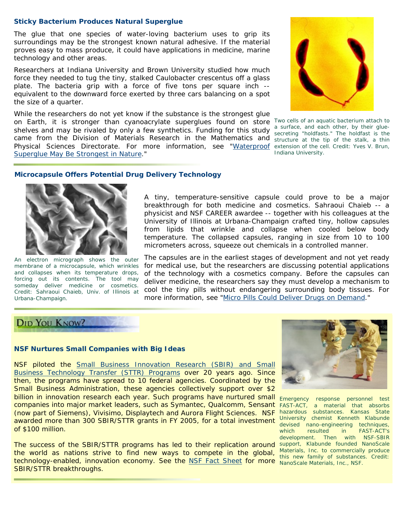## **Sticky Bacterium Produces Natural Superglue**

The glue that one species of water-loving bacterium uses to grip its surroundings may be the strongest known natural adhesive. If the material proves easy to mass produce, it could have applications in medicine, marine technology and other areas.

Researchers at Indiana University and Brown University studied how much force they needed to tug the tiny, stalked *Caulobacter crescentus* off a glass plate. The bacteria grip with a force of five tons per square inch - equivalent to the downward force exerted by three cars balancing on a spot the size of a quarter.

While the researchers do not yet know if the substance is the strongest glue on Earth, it is stronger than cyanoacrylate superglues found on store *Two cells of an aquatic bacterium attach to*  shelves and may be rivaled by only a few synthetics. Funding for this study a surface, and each other, by their gluecame from the Division of Materials Research in the Mathematics and *structure at the tip of the stalk, a thin*  Physical Sciences Directorate. For more information, see ["Waterproof](http://www.nsf.gov/news/news_summ.jsp?cntn_id=106872) extension of the cell. Credit: Yves V. Brun, [Superglue May Be Strongest in Nature.](http://www.nsf.gov/news/news_summ.jsp?cntn_id=106872)"



*secreting "holdfasts." The holdfast is the Indiana University.*

# **Microcapsule Offers Potential Drug Delivery Technology**



*An electron micrograph shows the outer membrane of a microcapsule, which wrinkles and collapses when its temperature drops, forcing out its contents. The tool may someday deliver medicine or cosmetics. Urbana-Champaign.*

A tiny, temperature-sensitive capsule could prove to be a major breakthrough for both medicine and cosmetics. Sahraoui Chaieb -- a physicist and NSF CAREER awardee -- together with his colleagues at the University of Illinois at Urbana-Champaign crafted tiny, hollow capsules from lipids that wrinkle and collapse when cooled below body temperature. The collapsed capsules, ranging in size from 10 to 100 micrometers across, squeeze out chemicals in a controlled manner.

Credit: Sahraoui Chaieb, Univ. of Illinois at cool the tiny pills without endangering surrounding body tissues. For The capsules are in the earliest stages of development and not yet ready for medical use, but the researchers are discussing potential applications of the technology with a cosmetics company. Before the capsules can deliver medicine, the researchers say they must develop a mechanism to more information, see ["Micro Pills Could Deliver Drugs on Demand](http://www.nsf.gov/discoveries/disc_summ.jsp?cntn_id=105694)."

# **DID YOU KNOW?**

## **NSF Nurtures Small Companies with Big Ideas**

NSF piloted the [Small Business Innovation Research \(SBIR\) and Small](http://www.nsf.gov/funding/pgm_summ.jsp?pims_id=5527)  [Business Technology Transfer \(STTR\) Programs](http://www.nsf.gov/funding/pgm_summ.jsp?pims_id=5527) over 20 years ago. Since then, the programs have spread to 10 federal agencies. Coordinated by the Small Business Administration, these agencies collectively support over \$2 billion in innovation research each year. Such programs have nurtured small companies into major market leaders, such as Symantec, Qualcomm, Sensant (now part of Siemens), Vivisimo, Displaytech and Aurora Flight Sciences. NSF *hazardous substances. Kansas State*  awarded more than 300 SBIR/STTR grants in FY 2005, for a total investment of \$100 million.

The success of the SBIR/STTR programs has led to their replication around *support, Klabunde founded NanoScale*  the world as nations strive to find new ways to compete in the global, technology-enabled, innovation economy. See the [NSF Fact Sheet](http://www.nsf.gov/news/news_summ.jsp?cntn_id=106866) for more *NanoScale Materials, Inc., NSF.*SBIR/STTR breakthroughs.



*Emergency response personnel test FAST-ACT, a material that absorbs University chemist Kenneth Klabunde devised nano-engineering techniques, which resulted in FAST-ACT's development. Then with NSF-SBIR Materials, Inc. to commercially produce this new family of substances. Credit:*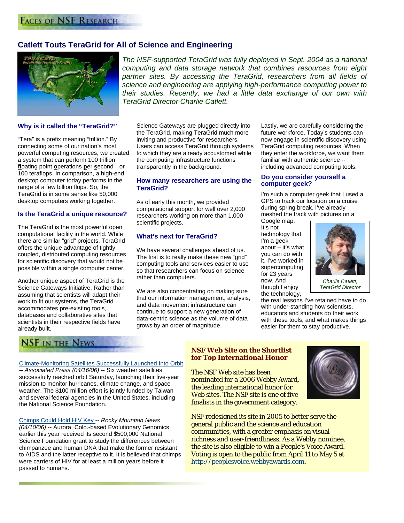# **Catlett Touts TeraGrid for All of Science and Engineering**



**Why is it called the "TeraGrid?"** 

"Tera" is a prefix meaning "trillion." By connecting some of our nation's most powerful computing resources, we created a system that can perform 100 trillion **fl**oating point **o**perations **p**er **s**econd—or 100 teraflops. In comparison, a high-end desktop computer today performs in the range of a few billion flops. So, the TeraGrid is in some sense like 50,000 desktop computers working together.

#### **Is the TeraGrid a unique resource?**

The TeraGrid is the most powerful open computational facility in the world. While there are similar "grid" projects, TeraGrid offers the unique advantage of tightly coupled, distributed computing resources for scientific discovery that would not be possible within a single computer center.

Another unique aspect of TeraGrid is the Science Gateways Initiative. Rather than assuming that scientists will adapt their work to fit our systems, the TeraGrid accommodates pre-existing tools, databases and collaborative sites that scientists in their respective fields have already built.

*The NSF-supported TeraGrid was fully deployed in Sept. 2004 as a national computing and data storage network that combines resources from eight partner sites. By accessing the TeraGrid, researchers from all fields of science and engineering are applying high-performance computing power to their studies. Recently, we had a little data exchange of our own with TeraGrid Director Charlie Catlett.*

Science Gateways are plugged directly into the TeraGrid, making TeraGrid much more inviting and productive for researchers. Users can access TeraGrid through systems to which they are already accustomed while the computing infrastructure functions transparently in the background.

#### **How many researchers are using the TeraGrid?**

As of early this month, we provided computational support for well over 2,000 researchers working on more than 1,000 scientific projects.

# **What's next for TeraGrid?**

We have several challenges ahead of us. The first is to really make these new "grid" computing tools and services easier to use so that researchers can focus on science rather than computers.

We are also concentrating on making sure that our information management, analysis, and data movement infrastructure can continue to support a new generation of data-centric science as the volume of data grows by an order of magnitude.

Lastly, we are carefully considering the future workforce. Today's students can now engage in scientific discovery using TeraGrid computing resources. When they enter the workforce, we want them familiar with authentic science - including advanced computing tools.

#### **Do you consider yourself a computer geek?**

I'm such a computer geek that I used a GPS to track our location on a cruise during spring break. I've already meshed the track with pictures on a

Google map. It's not technology that I'm a geek about – it's what you can do with it. I've worked in supercomputing for 23 years now. And though I enjoy the technology,



*Charlie Catlett, TeraGrid Director*

the real lessons I've retained have to do with under-standing how scientists, educators and students do their work with these tools, and what makes things easier for them to stay productive.

# **NSF IN THE NEWS**

[Climate-Monitoring Satellites Successfully Launched Into Orbit](http://www.usatoday.com/weather/news/2006-04-16-weather-satellites_x.htm?POE=TECISVA) -- *Associated Press (04/16/06)* -- Six weather satellites successfully reached orbit Saturday, launching their five-year mission to monitor hurricanes, climate change, and space weather. The \$100 million effort is jointly funded by Taiwan and several federal agencies in the United States, including the National Science Foundation.

[Chimps Could Hold HIV Key](http://www.msnbc.msn.com/id/12250119/from/RL.3/) -- *Rocky Mountain News (04/10/06)* -- Aurora, Colo.-based Evolutionary Genomics earlier this year received its second \$500,000 National Science Foundation grant to study the differences between chimpanzee and human DNA that make the former resistant to AIDS and the latter receptive to it. It is believed that chimps were carriers of HIV for at least a million years before it passed to humans.

#### **NSF Web Site on the Shortlist for Top International Honor**

The NSF Web site has been nominated for a 2006 Webby Award, the leading international honor for Web sites. The NSF site is one of five finalists in the government category.



NSF redesigned its site in 2005 to better serve the general public and the science and education communities, with a greater emphasis on visual richness and user-friendliness. As a Webby nominee, the site is also eligible to win a People's Voice Award. Voting is open to the public from April 11 to May 5 at [http://peoplesvoice.webbyawards.com](http://peoplesvoice.webbyawards.com/).